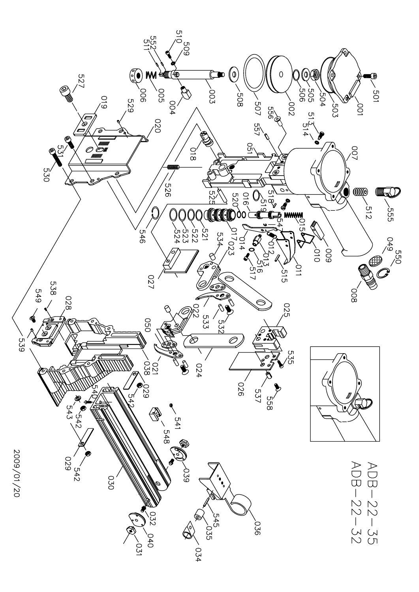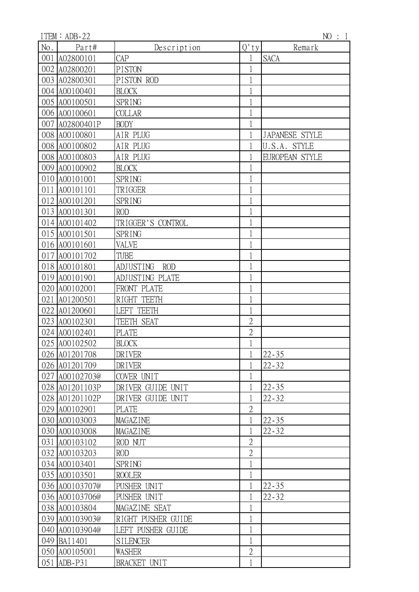| 001 A02800101  | CAP                | 1              | <b>SACA</b>           |
|----------------|--------------------|----------------|-----------------------|
| 002 A02800201  | <b>PISTON</b>      |                |                       |
| 003 A02800301  | PISTON ROD         | $\mathbf{1}$   |                       |
| 004 A00100401  | <b>BLOCK</b>       | 1              |                       |
| 005 A00100501  | SPRING             | 1              |                       |
| 006 A00100601  | <b>COLLAR</b>      | $\mathbf{1}$   |                       |
| 007 A02800401P | <b>BODY</b>        | 1              |                       |
| 008 A00100801  | AIR PLUG           | 1              | <b>JAPANESE STYLE</b> |
| 008 A00100802  | AIR PLUG           | 1              | U.S.A. STYLE          |
| 008 A00100803  | AIR PLUG           |                | EUROPEAN STYLE        |
| 009 A00100902  | <b>BLOCK</b>       | 1              |                       |
| 010 A00101001  | SPRING             | 1              |                       |
| 011 A00101101  | TRIGGER            | 1              |                       |
| 012 A00101201  | SPRING             | 1              |                       |
| 013 A00101301  | <b>ROD</b>         | 1              |                       |
| 014 A00101402  | TRIGGER'S CONTROL  | $\mathbf{1}$   |                       |
| 015 A00101501  | SPRING             | 1              |                       |
| 016 A00101601  | <b>VALVE</b>       | $\mathbf{1}$   |                       |
| 017 A00101702  | TUBE               | $\mathbf{1}$   |                       |
| 018 A00101801  | ADJUSTING ROD      | 1              |                       |
| 019 A00101901  | ADJUSTING PLATE    | 1              |                       |
| 020 A00102001  | FRONT PLATE        | 1              |                       |
| 021 A01200501  | RIGHT TEETH        | 1              |                       |
| 022 A01200601  | <b>LEFT TEETH</b>  | 1              |                       |
| 023 A00102301  | <b>TEETH SEAT</b>  | $\overline{2}$ |                       |
| 024 A00102401  | <b>PLATE</b>       | $\overline{2}$ |                       |
| 025 A00102502  | <b>BLOCK</b>       | 1              |                       |
| 026 A01201708  | <b>DRIVER</b>      |                | $22 - 35$             |
| 026 A01201709  | <b>DRIVER</b>      | $\mathbf{1}$   | $22 - 32$             |
| 027 A00102703@ | COVER UNIT         | 1              |                       |
| 028 A01201103P | DRIVER GUIDE UNIT  | 1              | $22 - 35$             |
| 028 A01201102P | DRIVER GUIDE UNIT  | 1              | $22 - 32$             |
| 029 A00102901  | <b>PLATE</b>       | $\overline{2}$ |                       |
| 030 A00103003  | MAGAZINE           | 1              | $22 - 35$             |
| 030 A00103008  | MAGAZINE           | 1              | $22 - 32$             |
| 031 A00103102  | ROD NUT            | $\overline{2}$ |                       |
| 032 A00103203  | <b>ROD</b>         | $\overline{2}$ |                       |
| 034 A00103401  | SPRING             | $\mathbf{1}$   |                       |
| 035 A00103501  | <b>ROOLER</b>      | 1              |                       |
| 036 A00103707@ | PUSHER UNIT        | 1              | $22 - 35$             |
| 036 A00103706@ | PUSHER UNIT        | $\mathbf{1}$   | $22 - 32$             |
| 038 A00103804  | MAGAZINE SEAT      | 1              |                       |
| 039 A00103903@ | RIGHT PUSHER GUIDE | $\mathbf{1}$   |                       |
| 040 A00103904@ | LEFT PUSHER GUIDE  | 1              |                       |
| 049 BAI1401    | <b>SILENCER</b>    | 1              |                       |
| 050 A00105001  | WASHER             | $\overline{2}$ |                       |

051 ADB-P31 BRACKET UNIT

ITEM: ADB-22 NO : 1<br>
No. Part# Description Q'ty Remark

No. Part# Description  $Q'ty$  Remark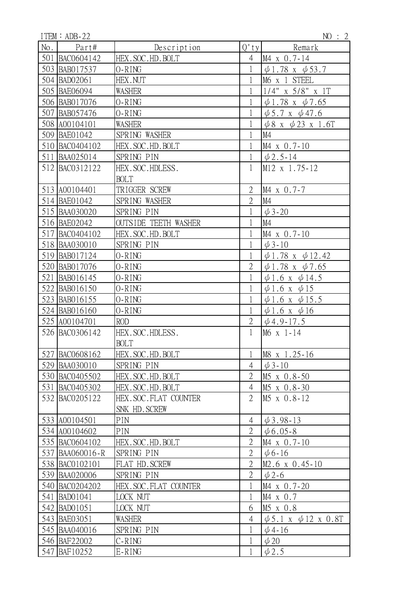| $IFEM : ADB-22$<br>NO |  |  |
|-----------------------|--|--|
|-----------------------|--|--|

| No. Part#       | Description                 |                | $Q'$ ty Remark                |
|-----------------|-----------------------------|----------------|-------------------------------|
| 501 BAC0604142  | HEX. SOC. HD. BOLT          | $\overline{4}$ | M4 x 0.7-14                   |
| 503 BAB017537   | O-RING                      | $\mathbf{1}$   | $\phi$ 1.78 x $\phi$ 53.7     |
| 504 BAD02061    | HEX.NUT                     | $\mathbf{1}$   | M6 x 1 STEEL                  |
| 505 BAE06094    | WASHER                      | $\mathbf{1}$   | $1/4$ " x $5/8$ " x 1T        |
| 506 BAB017076   | $0 - RING$                  | $\mathbf{1}$   | $\phi$ 1.78 x $\phi$ 7.65     |
| 507 BAB057476   | O-RING                      | $\mathbf{1}$   | $\phi$ 5.7 x $\phi$ 47.6      |
| 508 A00104101   | WASHER                      | $\mathbf{1}$   | $\phi$ 8 x $\phi$ 23 x 1.6T   |
| 509 BAE01042    | SPRING WASHER               | $\mathbf{1}$   | M4                            |
| 510 BAC0404102  | HEX. SOC. HD. BOLT          | $1\,$          | M4 x 0.7-10                   |
| 511 BAA025014   | SPRING PIN                  | $\mathbf{1}$   | $\phi$ 2.5-14                 |
| 512 BAC0312122  | HEX. SOC. HDLESS.           | $\mathbf{1}$   | M12 x 1.75-12                 |
|                 | <b>BOLT</b>                 |                |                               |
| 513 A00104401   | TRIGGER SCREW               | $\overline{2}$ | M4 x 0.7-7                    |
| 514 BAE01042    | SPRING WASHER               | $\overline{2}$ | M4                            |
| 515 BAA030020   | SPRING PIN                  | $\mathbf{1}$   | $\phi$ 3-20                   |
| 516 BAE02042    | <b>OUTSIDE TEETH WASHER</b> | $\mathbf{1}$   | M4                            |
| 517 BAC0404102  | HEX. SOC. HD. BOLT          | $\mathbf{1}$   | M4 x 0.7-10                   |
| 518 BAA030010   | SPRING PIN                  | $\mathbf{1}$   | $\phi$ 3-10                   |
| 519 BAB017124   | O-RING                      | $\mathbf{1}$   | $\phi$ 1.78 x $\phi$ 12.42    |
| 520 BAB017076   | O-RING                      | $\overline{2}$ | $\phi$ 1.78 x $\phi$ 7.65     |
| 521 BAB016145   | O-RING                      | $\mathbf{1}$   | $\phi$ 1.6 x $\phi$ 14.5      |
| 522 BAB016150   | $O-RING$                    | $\mathbf{1}$   | $\phi$ 1.6 x $\phi$ 15        |
| 523 BAB016155   | O-RING                      | $\mathbf{1}$   | $\phi$ 1.6 x $\phi$ 15.5      |
| 524 BAB016160   | O-RING                      | $\mathbf{1}$   | $\phi$ 1.6 x $\phi$ 16        |
| 525 A00104701   | <b>ROD</b>                  | $\overline{2}$ | $\phi$ 4.9-17.5               |
| 526 BAC0306142  | HEX. SOC. HDLESS.           | $\mathbf{1}$   | $M6 \times 1 - 14$            |
|                 | <b>BOLT</b>                 |                |                               |
| 527 BAC0608162  | HEX. SOC. HD. BOLT          | $\mathbf{1}$   | M8 x 1.25-16                  |
| 529 BAA030010   | SPRING PIN                  | $\overline{4}$ | $\phi$ 3-10                   |
| 530 BAC0405502  | HEX. SOC. HD. BOLT          | $\overline{2}$ | M5 x 0.8-50                   |
| 531 BAC0405302  | HEX. SOC. HD. BOLT          | $\overline{4}$ | $M5 \times 0.8 - 30$          |
| 532 BAC0205122  | HEX. SOC. FLAT COUNTER      | $\overline{2}$ | M5 x 0.8-12                   |
|                 | SNK HD. SCREW               |                |                               |
| 533 A00104501   | PIN                         | $\overline{4}$ | $\phi$ 3.98-13                |
| 534 A00104602   | PIN                         | $\overline{2}$ | $\phi$ 6.05-8                 |
| 535 BAC0604102  | HEX. SOC. HD. BOLT          | $\overline{2}$ | M4 x 0.7-10                   |
| 537 BAA060016-R | SPRING PIN                  | $\overline{2}$ | $\phi$ 6 - 16                 |
| 538 BAC0102101  | FLAT HD. SCREW              | $\overline{2}$ | M2.6 x 0.45-10                |
| 539 BAA020006   | SPRING PIN                  | $\overline{2}$ | $\phi$ 2-6                    |
| 540 BAC0204202  | HEX. SOC. FLAT COUNTER      | $\mathbf{1}$   | M4 x 0.7-20                   |
| 541 BAD01041    | LOCK NUT                    | $\mathbf{1}$   | M4 x 0.7                      |
| 542 BAD01051    | LOCK NUT                    | 6              | M5 x 0.8                      |
| 543 BAE03051    | WASHER                      | $\overline{4}$ | $\phi$ 5.1 x $\phi$ 12 x 0.8T |
| 545 BAA040016   | SPRING PIN                  | $\mathbf{1}$   | $\phi$ 4-16                   |
| 546 BAF22002    | C-RING                      | $\mathbf{1}$   | $\phi$ 20                     |
| 547 BAF10252    | E-RING                      | $\mathbf{1}$   | $\phi$ 2.5                    |